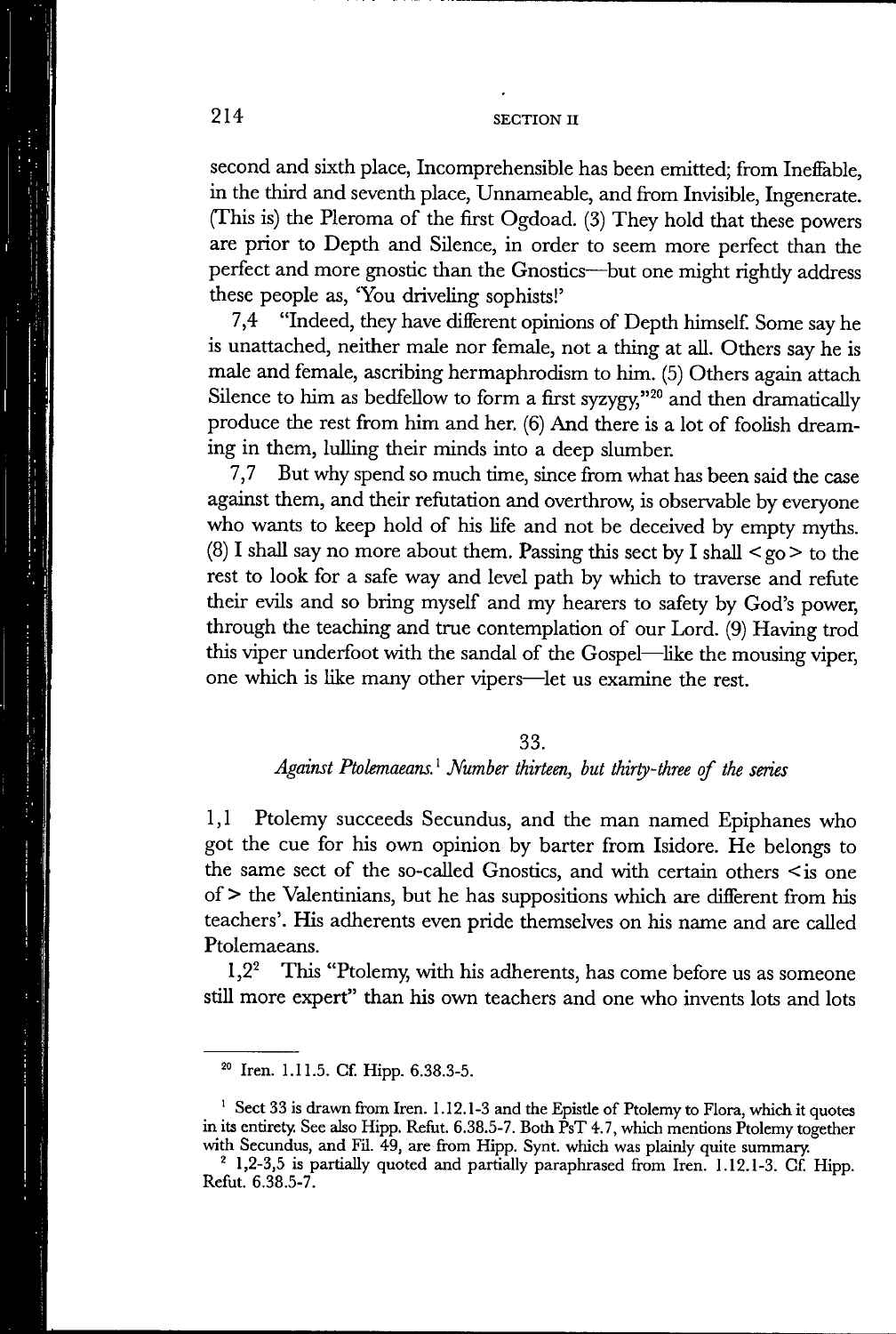second and sixth place, Incomprehensible has been emitted; from Ineffable, in the third and seventh place, Unnameable, and from Invisible, Ingenerate. (This is) the Pleroma of the first Ogdoad. (3) They hold that these powers are prior to Depth and Silence, in order to seem more perfect than the perfect and more gnostic than the Gnostics—but one might righdy address these people as, 'You driveling sophists!'

7,4 "Indeed, they have difierent opinions of Depth himself Some say he is unattached, neither male nor female, not a thing at all. Others say he is male and female, ascribing hermaphrodism to him. (5) Others again attach Silence to him as bedfellow to form a first syzygy," $^{20}$  and then dramatically produce the rest from him and her. (6) And there is a lot of foolish dreaming in them, lulling their minds into a deep slumber.

7,7 But why spend so much time, since from what has been said the case against them, and their refutation and overthrow, is observable by everyone who wants to keep hold of his life and not be deceived by empty myths. (8) I shall say no more about them. Passing this sect by I shall  $\leq$  go  $>$  to the rest to look for a safe way and level path by which to traverse and refute their evils and so bring myself and my hearers to safety by God's power, through the teaching and true contemplation of our Lord. (9) Having trod this viper underfoot with the sandal of the Gospel—like the mousing viper, one which is like many other vipers—let us examine the rest.

#### 33.

## *Against Ptolemaeans.' Number thirteen, but thirty-three of the series*

1,1 Ptolemy succeeds Secundus, and the man named Epiphanes who got the cue for his own opinion by barter from Isidore. He belongs to the same sect of the so-called Gnostics, and with certain others  $\leq$  is one of > the Valentinians, but he has suppositions which are difierent from his teachers'. His adherents even pride themselves on his name and are called Ptolemaeans.

1,2<sup>2</sup> This "Ptolemy, with his adherents, has come before us as someone still more expert" than his own teachers and one who invents lots and lots

**<sup>2°</sup> Iren. 1.11.5. Cf. Hipp. 6.38.3-5.** 

**<sup>&#</sup>x27; Sect 33 is drawn from Iren. 1.12.1-3 and the Epistle of Ptolemy to Flora, which it quotes in its entirety. See also Hipp. Refut. 6.38.5-7. Both PsT 4.7, which mentions Ptolemy together with Secundus, and Fil. 49, are from Hipp. Synt. which was plainly quite summary.** 

**<sup>&#</sup>x27; 1,2-3,5 is partially quoted and partially paraphrased from Iren. 1.12.1-3. Cf Hipp. Refut. 6.38.5-7.**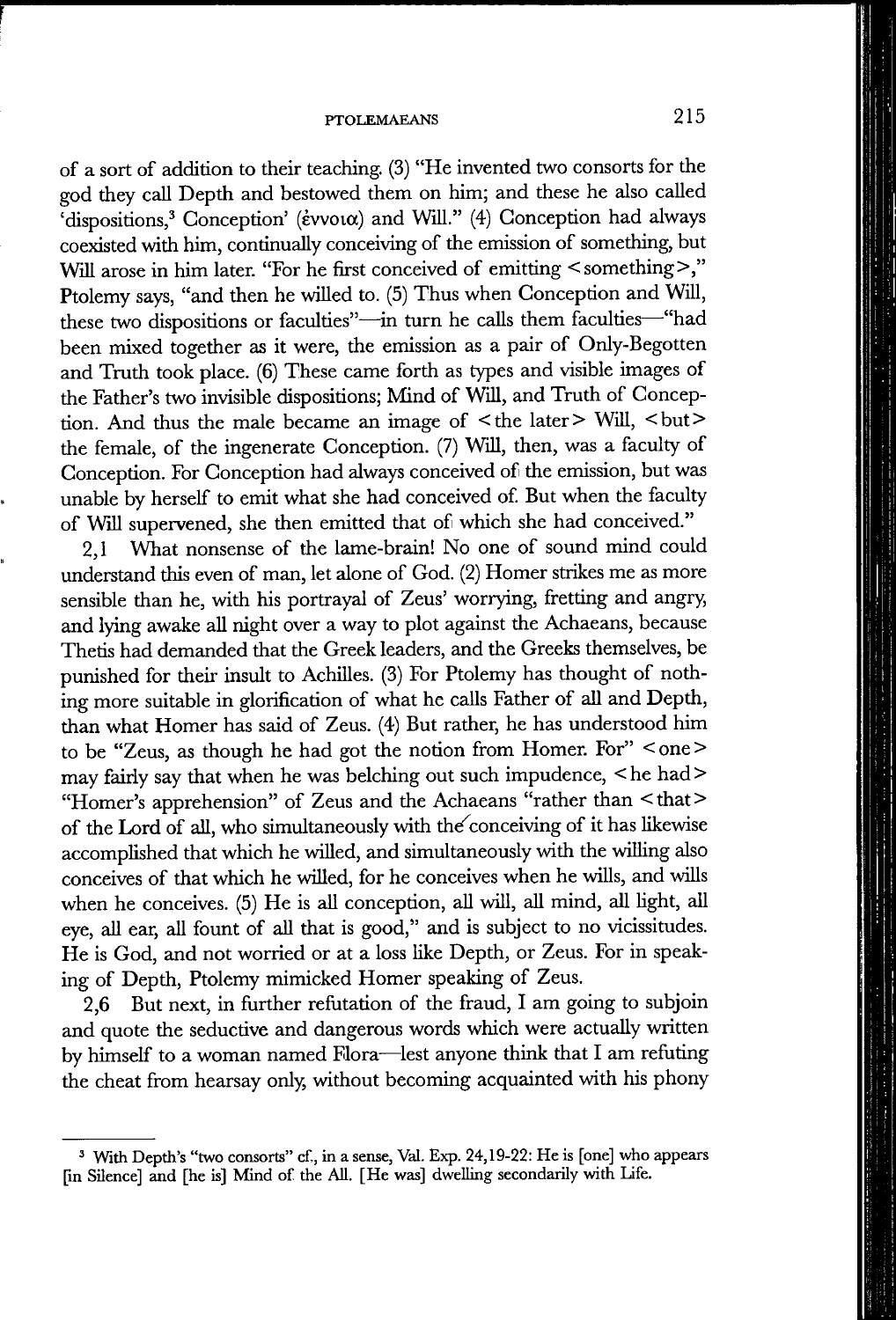of a sort of addition to their teaching. (3) "He invented two consorts for the god they call Depth and bestowed them on him; and these he also called 'dispositions,<sup>3</sup> Conception' (*évvoua*) and Will." (4) Conception had always coexisted with him, continually conceiving of the emission of something, but Will arose in him later. "For he first conceived of emitting < something>," Ptolemy says, "and then he willed to. (5) Thus when Conception and Will, these two dispositions or faculties"—in turn he calls them faculties—"had been mixed together as it were, the emission as a pair of Only-Begotten and Truth took place. (6) These came forth as types and visible images of the Father's two invisible dispositions; Mind of Will, and Truth of Conception. And thus the male became an image of  $\leq$  the later  $>$  Will,  $\leq$  but  $>$ the female, of the ingenerate Conception. (7) Will, then, was a faculty of Conception. For Conception had always conceived of the emission, but was unable by herself to emit what she had conceived of. But when the faculty of Will supervened, she then emitted that of which she had conceived."

2,1 What nonsense of the lame-brain! No one of sound mind could understand this even of man, let alone of God. (2) Homer strikes me as more sensible than he, with his portrayal of Zeus' worrying, fretting and angry, and lying awake all night over a way to plot against the Achaeans, because Thetis had demanded that the Greek leaders, and the Greeks themselves, be punished for their insult to Achilles. (3) For Ptolemy has thought of nothing more suitable in glorification of what he calls Father of all and Depth, than what Homer has said of Zeus. (4) But rather, he has understood him to be "Zeus, as though he had got the notion from Homer. For" < one > may fairly say that when he was belching out such impudence, <he had> "Homer's apprehension" of Zeus and the Achaeans "rather than <that> of the Lord of all, who simultaneously with the conceiving of it has likewise accomplished that which he willed, and simultaneously with the willing also conceives of that which he willed, for he conceives when he wills, and wills when he conceives. (5) He is all conception, all will, all mind, all light, all eye, all ear, all fount of all that is good," and is subject to no vicissitudes. He is God, and not worried or at a loss like Depth, or Zeus. For in speaking of Depth, Ptolemy mimicked Homer speaking of Zeus.

2,6 But next, in further refutation of the fraud, I am going to subjoin and quote the seductive and dangerous words which were actually written by himself to a woman named Flora—^lest anyone think that I am refuting the cheat from hearsay only, without becoming acquainted with his phony

**<sup>&#</sup>x27; With Depth's "two consorts" cf., in a sense, Val. Exp. 24,19-22: He is [one] who appears [in Silence] and [he is] Mind of the All. [He was] dwelling secondarily with Life.**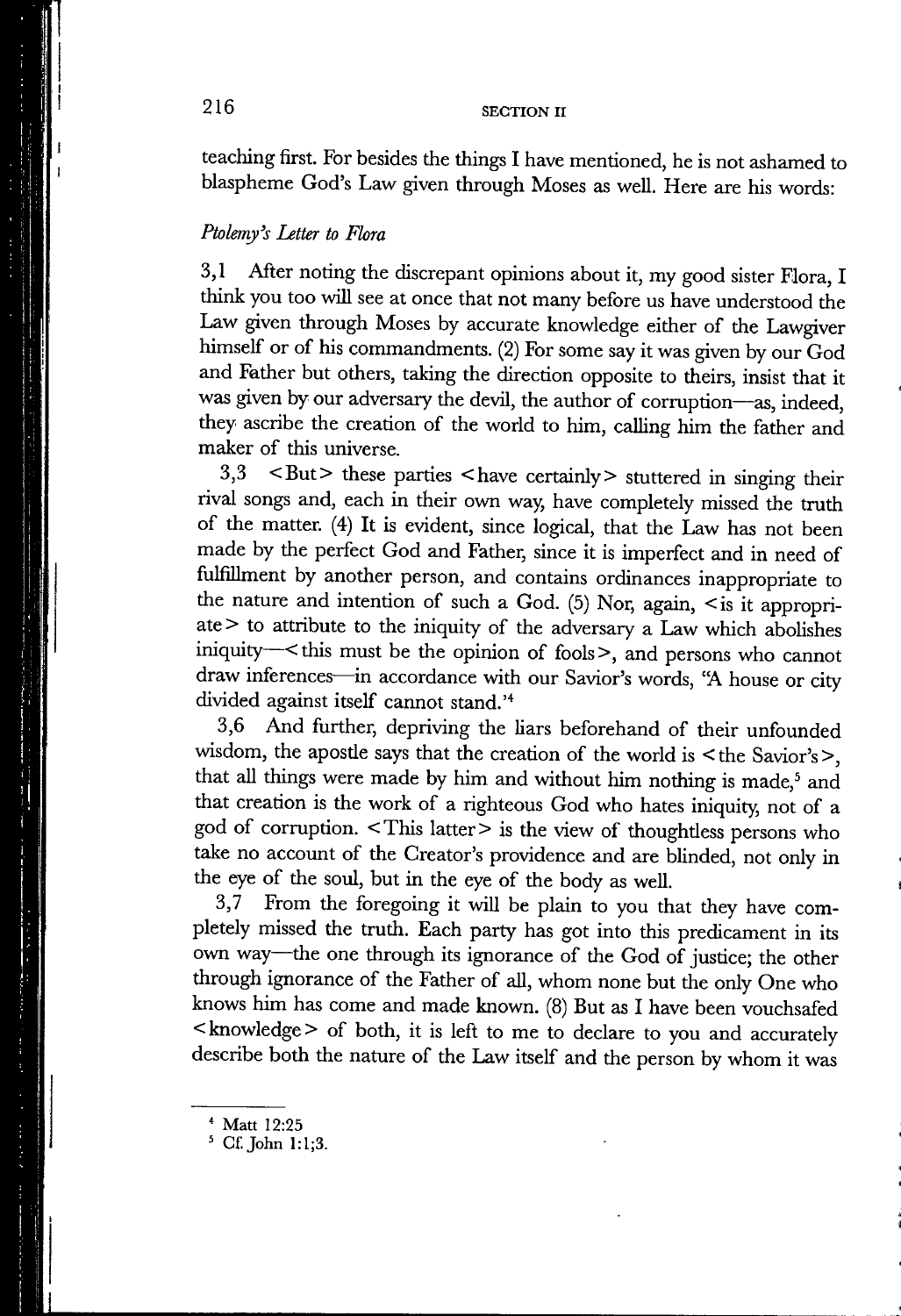teaching first. For besides the things I have mentioned, he is not ashamed to blaspheme God's Law given through Moses as well. Here are his words:

#### *Ptolemy's Letter to Flora*

3,1 After noting the discrepant opinions about it, my good sister Flora, I think you too will see at once that not many before us have understood the Law given through Moses by accurate knowledge either of the Lawgiver himself or of his commandments. (2) For some say it was given by our God and Father but others, taking the direction opposite to theirs, insist that it was given by our adversary the devil, the author of corruption—as, indeed, they ascribe the creation of the world to him, calling him the father and maker of this universe.

 $3,3$  <But> these parties <have certainly > stuttered in singing their rival songs and, each in their own way, have completely missed the truth of the matter. (4) It is evident, since logical, that the Law has not been made by the perfect God and Father, since it is imperfect and in need of fulfillment by another person, and contains ordinances inappropriate to the nature and intention of such a God. (5) Nor, again, < is it appropriate > to attribute to the iniquity of the adversary a Law which abolishes iniquity  $\sim$  this must be the opinion of fools >, and persons who cannot draw inferences—in accordance with our Savior's words, "A house or city divided against itself cannot stand.<sup>'4</sup>

3.6 And further, depriving the liars beforehand of their unfounded wisdom, the apostle says that the creation of the world is < the Savior's >, that all things were made by him and without him nothing is made,<sup>5</sup> and that creation is the work of a righteous God who hates iniquity, not of a god of corruption. < This latter > is the view of thoughtless persons who take no account of the Creator's providence and are blinded, not only in the eye of the soul, but in the eye of the body as well.

3.7 From the foregoing it will be plain to you that they have completely missed the truth. Each party has got into this predicament in its own way—the one through its ignorance of the God of justice; the other through ignorance of the Father of all, whom none but the only One who knows him has come and made known. (8) But as I have been vouchsafed < knowledge > of both, it is left to me to declare to you and accurately describe both the nature of the Law itself and the person by whom it was

**<sup>&#</sup>x27; Matt 12:25** 

**<sup>5</sup> Cf.John 1:1;3.**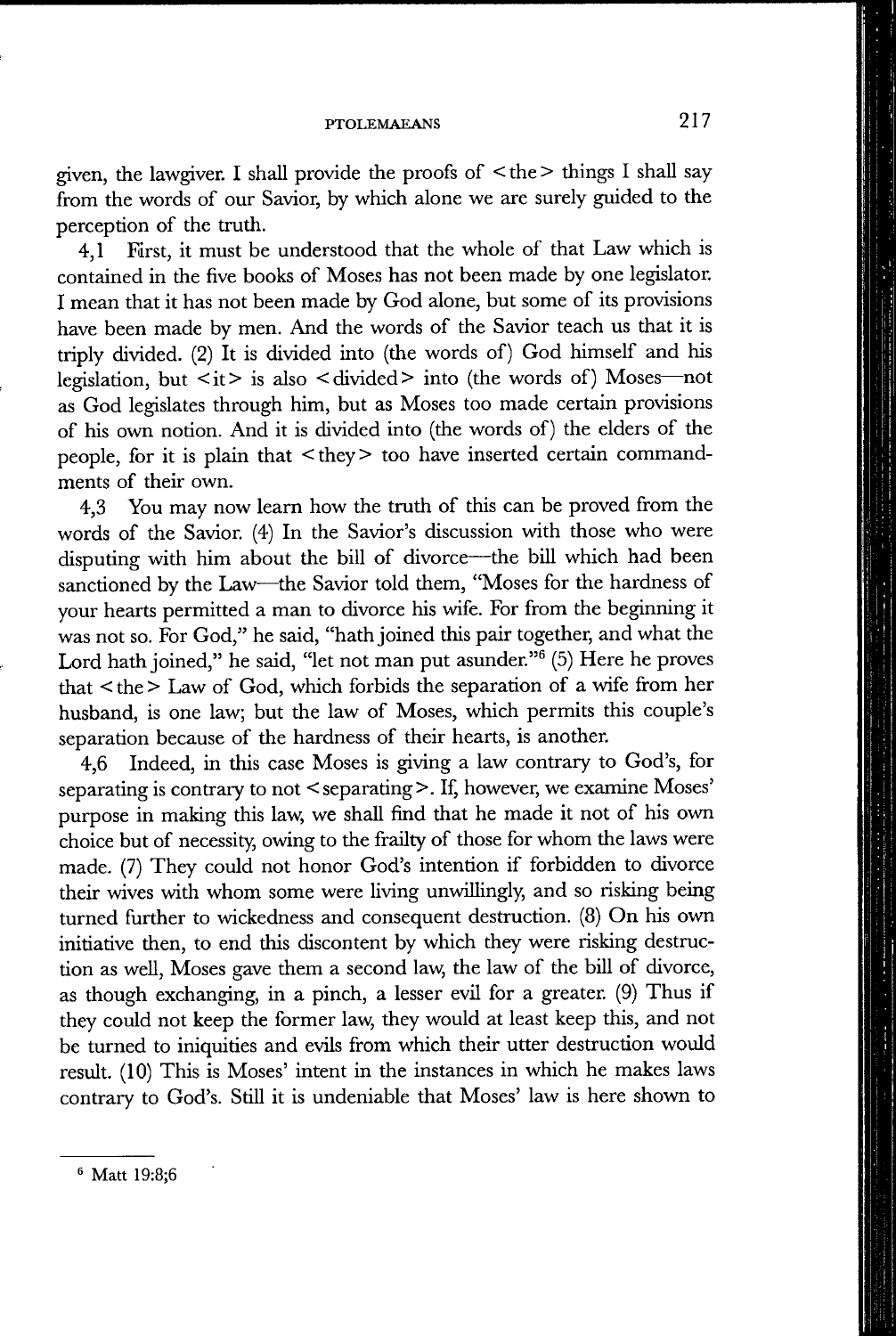given, the lawgiver. I shall provide the proofs of  $\leq$  the  $>$  things I shall say from the words of our Savior, by which alone we are surely guided to the perception of the truth.

4,1 First, it must be understood that the whole of that Law which is contained in the five books of Moses has not been made by one legislator. I mean that it has not been made by God alone, but some of its provisions have been made by men. And the words of the Savior teach us that it is triply divided. (2) It is divided into (the words of) God himself and his legislation, but  $\langle it \rangle$  is also  $\langle \text{divided} \rangle$  into (the words of) Moses—not as God legislates through him, but as Moses too made certain provisions of his own notion. And it is divided into (the words of) the elders of the people, for it is plain that  $\langle$  they $\rangle$  too have inserted certain commandments of their own.

4,3 You may now learn how the truth of this can be proved from the words of the Savior. (4) In the Savior's discussion with those who were disputing with him about the bill of divorce—the bill which had been sanctioned by the Law—the Savior told them, "Moses for the hardness of your hearts permitted a man to divorce his wife. For from the beginning it was not so. For God," he said, "hath joined this pair together, and what the Lord hath joined," he said, "let not man put asunder."<sup>6</sup> (5) Here he proves that < the > Law of God, which forbids the separation of a wife from her husband, is one law; but the law of Moses, which permits this couple's separation because of the hardness of their hearts, is another.

4,6 Indeed, in this case Moses is giving a law contrary to God's, for separating is contrary to not < separating >. If, however, we examine Moses' purpose in making this law, we shall find that he made it not of his own choice but of necessity, owing to the frailty of those for whom the laws were made. (7) They could not honor God's intention if forbidden to divorce their wives with whom some were living unwillingly, and so risking being turned further to wickedness and consequent destruction. (8) On his own initiative then, to end this discontent by which they were risking destruction as well, Moses gave them a second law, the law of the bill of divorce, as though exchanging, in a pinch, a lesser evil for a greater. (9) Thus if they could not keep the former law, they would at least keep this, and not be turned to iniquities and evils from which their utter destruction would result. (10) This is Moses' intent in the instances in which he makes laws contrary to God's. Still it is undeniable that Moses' law is here shown to

**<sup>®</sup> Matt 19:8;6**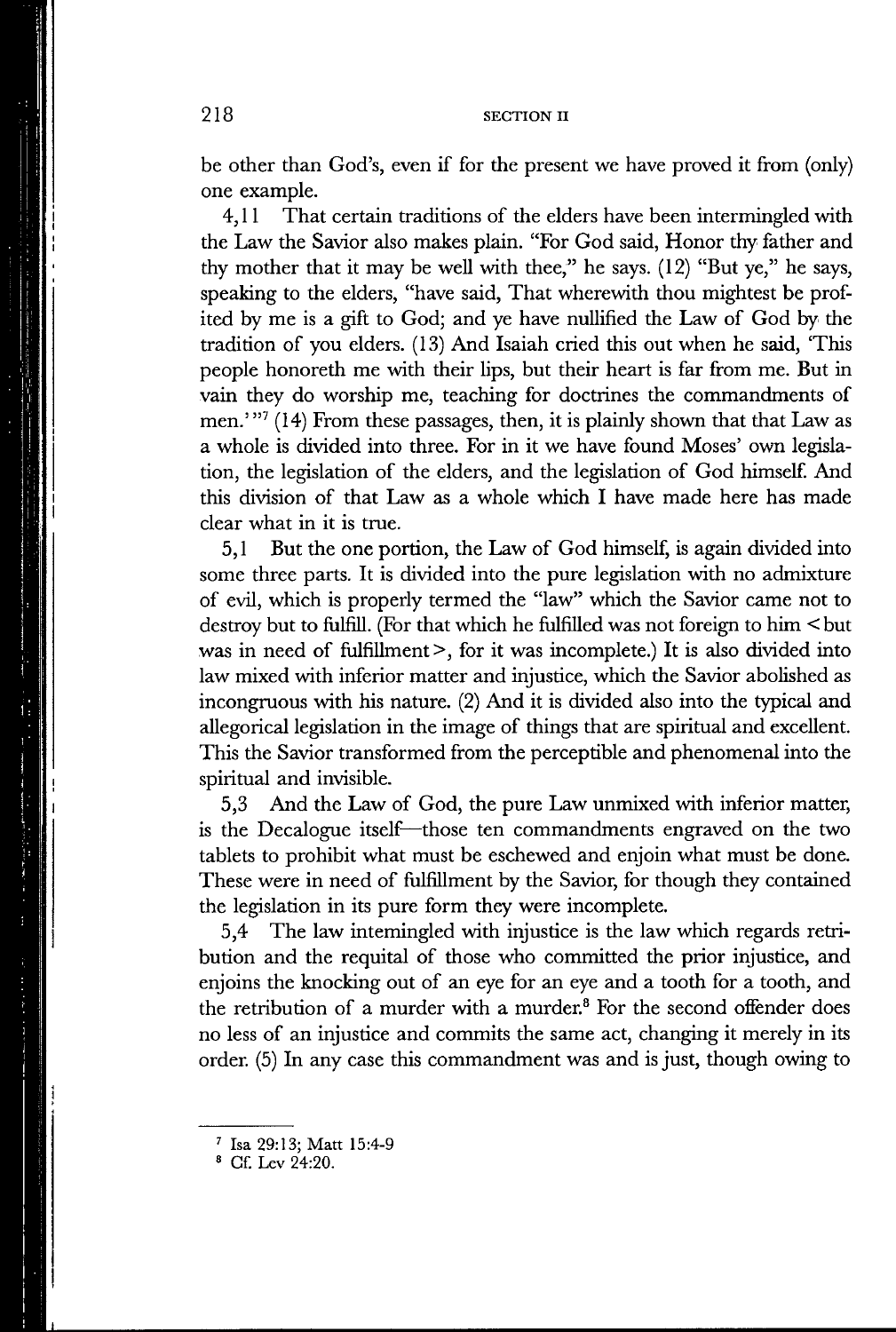be other than God's, even if for the present we have proved it from (only) one example.

4,11 That certain traditions of the elders have been intermingled with the Law the Savior also makes plain. "For God said, Honor thy father and thy mother that it may be well with thee," he says. (12) "But ye," he says, speaking to the elders, "have said. That wherewith thou mightest be profited by me is a gift to God; and ye have nullified the Law of God by the tradition of you elders. (13) And Isaiah cried this out when he said, 'This people honoreth me with their lips, but their heart is far from me. But in vain they do worship me, teaching for doctrines the commandments of men.'"<sup>7</sup> (14) From these passages, then, it is plainly shown that that Law as a whole is divided into three. For in it we have found Moses' own legislation, the legislation of the elders, and the legislation of God himself. And this division of that Law as a whole which I have made here has made clear what in it is true.

5,1 But the one portion, the Law of God himself, is again divided into some three parts. It is divided into the pure legislation with no admixture of evil, which is properly termed the "law" which the Savior came not to destroy but to fulfiU. (For that which he fulfilled was not foreign to him < but was in need of fulfillment >, for it was incomplete.) It is also divided into law mixed with inferior matter and injustice, which the Savior abolished as incongruous with his nature. (2) And it is divided also into the typical and allegorical legislation in the image of things that are spiritual and excellent. This the Savior transformed from the perceptible and phenomenal into the spiritual and invisible.

5.3 And the Law of God, the pure Law unmixed with inferior matter, is the Decalogue itself—those ten commandments engraved on the two tablets to prohibit what must be eschewed and enjoin what must be done. These were in need of fulfillment by the Savior, for though they contained the legislation in its pure form they were incomplete.

5.4 The law intemingled with injustice is the law which regards retribution and the requital of those who committed the prior injustice, and enjoins the knocking out of an eye for an eye and a tooth for a tooth, and the retribution of a murder with a murder.® For the second offender does no less of an injustice and commits the same act, changing it merely in its order. (5) In any case this commandment was and is just, though owing to

**<sup>&#</sup>x27; Isa 29:13; Matt 15:4-9** 

**<sup>=</sup> Cf. Lev 24:20.**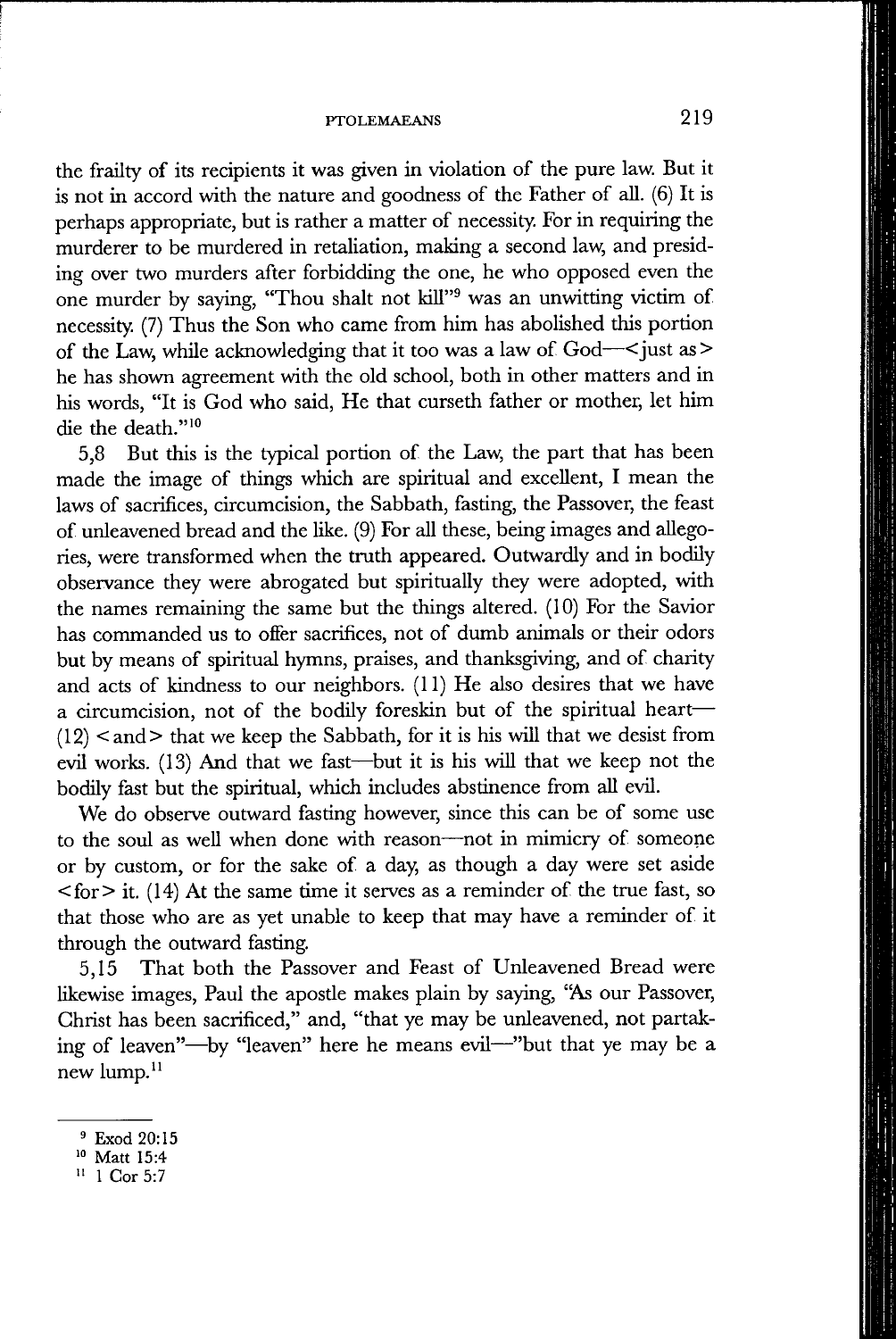#### **PTOLEMAEANS** 219

the frailty of its recipients it was given in violation of the pure law. But it is not in accord with the nature and goodness of the Father of all. (6) It is perhaps appropriate, but is rather a matter of necessity. For in requiring the murderer to be murdered in retaliation, making a second law, and presiding over two murders after forbidding the one, he who opposed even the one murder by saying, "Thou shalt not kill"® was an unwitting victim of necessity (7) Thus the Son who came from him has abolished this portion of the Law, while acknowledging that it too was a law of God—< just as > he has shown agreement with the old school, both in other matters and in his words, "It is God who said. He that curseth father or mother, let him die the death."<sup>10</sup>

5,8 But this is the typical portion of the Law, the part that has been made the image of things which are spiritual and excellent, I mean the laws of sacrifices, circumcision, the Sabbath, fasting, the Passover, the feast of unleavened bread and the like. (9) For all these, being images and allegories, were transformed when the truth appeared. Outwardly and in bodily observance they were abrogated but spiritually they were adopted, with the names remaining the same but the things altered. (10) For the Savior has commanded us to offer sacrifices, not of dumb animals or their odors but by means of spiritual hymns, praises, and thanksgiving, and of charity and acts of kindness to our neighbors. (11) He also desires that we have a circumcision, not of the bodily foreskin but of the spiritual heart—  $(12)$  <and > that we keep the Sabbath, for it is his will that we desist from evil works. (13) And that we fast—^but it is his wiU that we keep not the bodily fast but the spiritual, which includes abstinence from aU evil.

We do observe outward fasting however, since this can be of some use to the soul as well when done with reason—not in mimicry of someone or by custom, or for the sake of a day, as though a day were set aside  $\langle$  for  $>$  it. (14) At the same time it serves as a reminder of the true fast, so that those who are as yet unable to keep that may have a reminder of it through the outward fasting.

5,15 That both the Passover and Feast of Unleavened Bread were likewise images, Paul the aposde makes plain by saying, "As our Passover, Christ has been sacrificed," and, "that ye may be unleavened, not partaking of leaven"—by "leaven" here he means evil—"but that ye may be a new lump.<sup>11</sup>

**<sup>^</sup> Exod 20:15** 

**Matt 15:4** 

**<sup>&</sup>quot; 1 Cor 5:7**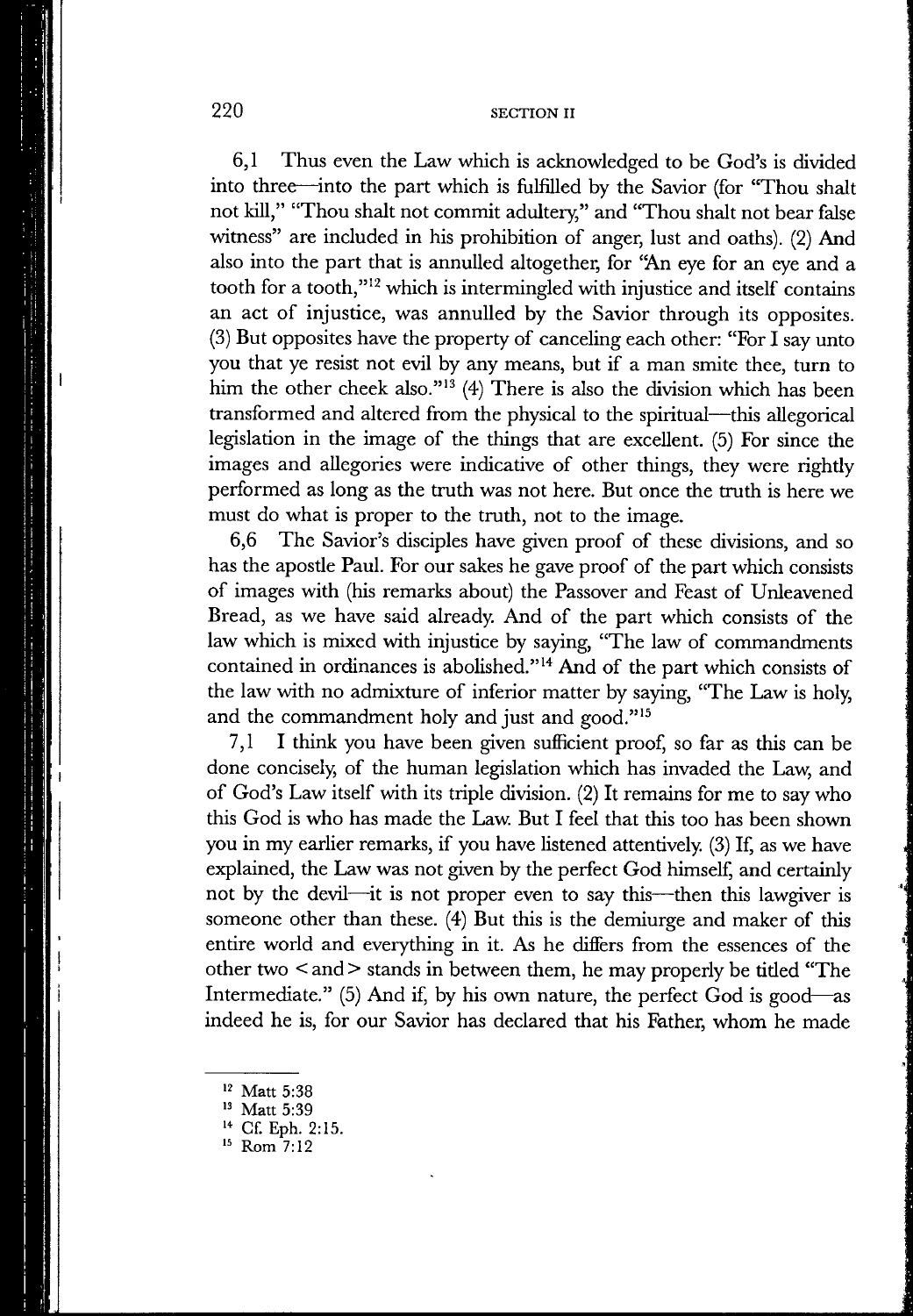6,1 Thus even the Law which is acknowledged to be God's is divided into three—into the part which is fulfilled by the Savior (for "Thou shalt not kill," "Thou shalt not commit adultery," and "Thou shalt not bear false witness" are included in his prohibition of anger, lust and oaths). (2) And also into the part that is annulled altogether, for "An eye for an eye and a tooth for a tooth," $12$  which is intermingled with injustice and itself contains an act of injustice, was annulled by the Savior through its opposites. (3) But opposites have the property of canceling each other: "For I say unto you that ye resist not evil by any means, but if a man smite thee, turn to him the other cheek also."<sup>13</sup> (4) There is also the division which has been transformed and altered from the physical to the spiritual—this allegorical legislation in the image of the things that are excellent. (5) For since the images and allegories were indicative of other things, they were rightly performed as long as the truth was not here. But once the truth is here we must do what is proper to the truth, not to the image.

6,6 The Savior's disciples have given proof of these divisions, and so has the apostle Paul. For our sakes he gave proof of the part which consists of images with (his remarks about) the Passover and Feast of Unleavened Bread, as we have said already. And of the part which consists of the law which is mixed with injustice by saying, "The law of commandments contained in ordinances is abolished."<sup>14</sup> And of the part which consists of the law with no admixture of inferior matter by saying, "The Law is holy, and the commandment holy and just and good."<sup>15</sup>

7,1 I think you have been given sufficient proof, so far as this can be done concisely, of the human legislation which has invaded the Law, and of God's Law itself with its triple division. (2) It remains for me to say who this God is who has made the Law. But I feel that this too has been shown you in my earlier remarks, if you have listened attentively. (3) If, as we have explained, the Law was not given by the perfect God himself, and certainly not by the devil—it is not proper even to say this—then this lawgiver is someone other than these. (4) But this is the demiurge and maker of this entire world and everything in it. As he difiers from the essences of the other two < and > stands in between them, he may properly be tided "The Intermediate." (5) And if, by his own nature, the perfect God is good—as indeed he is, for our Savior has declared that his Father, whom he made

- **Cf. Eph. 2:15.**
- **Rom 7:12**

**Matt 5:38** 

**Matt 5:39**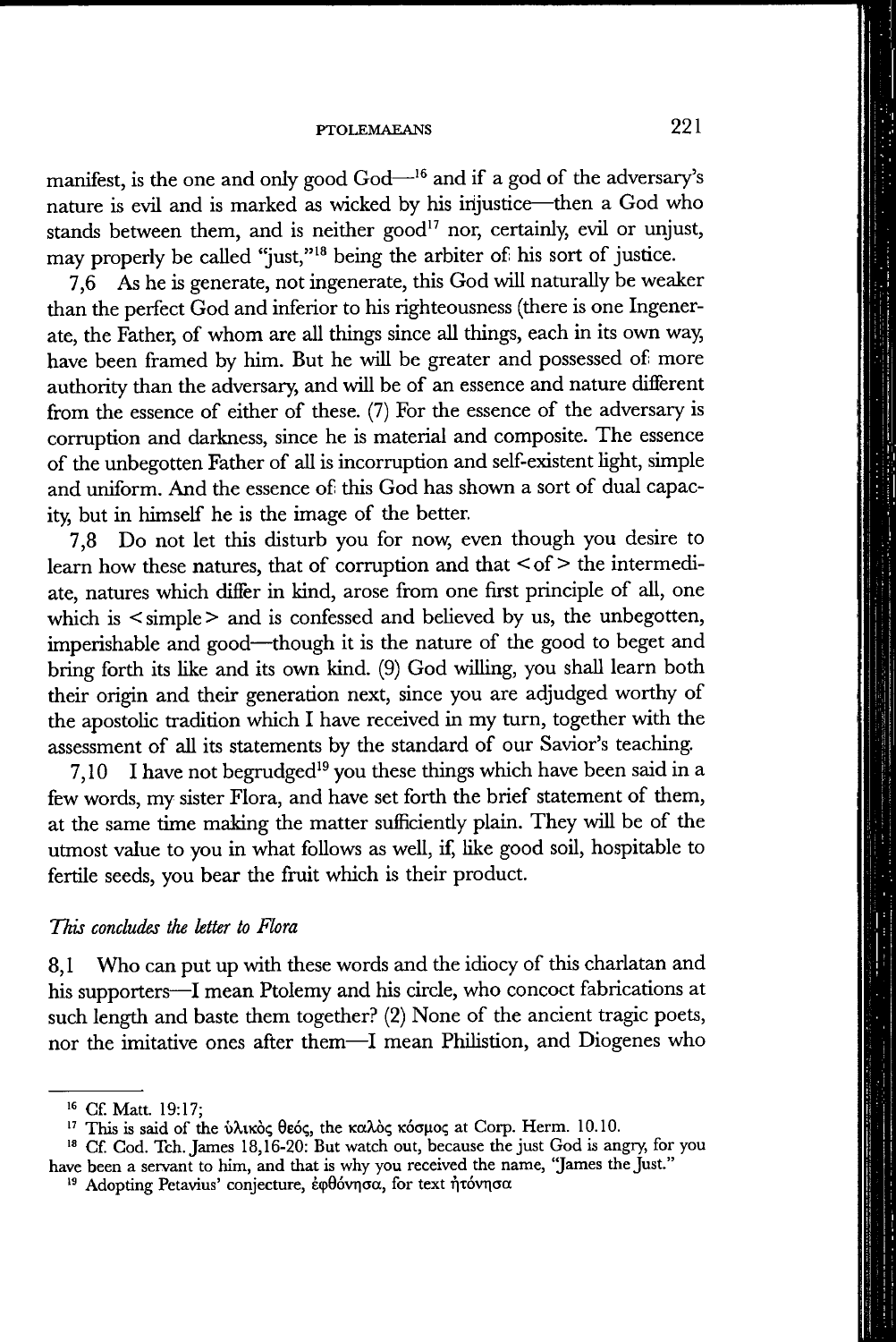manifest, is the one and only good God—'® and if a god of the adversary's nature is evil and is marked as wicked by his injustice—then a God who stands between them, and is neither good<sup>17</sup> nor, certainly, evil or unjust, may properly be called "just,"'® being the arbiter of his sort of justice.

7,6 As he is generate, not ingenerate, this God will naturally be weaker than the perfect God and inferior to his righteousness (there is one Ingenerate, the Father, of whom are all things since all things, each in its own way, have been framed by him. But he will be greater and possessed of more authority than the adversary, and will be of an essence and nature different from the essence of either of these. (7) For the essence of the adversary is corruption and darkness, since he is material and composite. The essence of the unbegotten Father of all is incorruption and self-existent light, simple and uniform. And the essence of this God has shown a sort of dual capacity, but in himself he is the image of the better.

7,8 Do not let this disturb you for now, even though you desire to learn how these natures, that of corruption and that  $\leq$  of  $>$  the intermediate, natures which differ in kind, arose from one first principle of all, one which is  $\leq$  simple  $>$  and is confessed and believed by us, the unbegotten, imperishable and good—though it is the nature of the good to beget and bring forth its like and its own kind. (9) God willing, you shall learn both their origin and their generation next, since you are adjudged worthy of the apostolic tradition which I have received in my turn, together with the assessment of all its statements by the standard of our Savior's teaching.

7,10 I have not begrudged'® you these things which have been said in a few words, my sister Flora, and have set forth the brief statement of them, at the same time making the matter sufficiently plain. They will be of the utmost value to you in what follows as well, if, like good soil, hospitable to fertile seeds, you bear the fruit which is their product.

## *This concludes the letter to Flora*

8,1 Who can put up with these words and the idiocy of this charlatan and his supporters—I mean Ptolemy and his circle, who concoct fabrications at such length and baste them together? (2) None of the ancient tragic poets, nor the imitative ones after them—I mean Philistion, and Diogenes who

<sup>&</sup>lt;sup>16</sup> Cf. Matt. 19:17;

<sup>&</sup>lt;sup>17</sup> This is said of the ύλικὸς θεός, the καλὸς κόσμος at Corp. Herm. 10.10.

**Gf God. Tch. James 18,16-20: But watch out, because the just God is angry, for you have been a servant to him, and that is why you received the name, "James the Just."** 

<sup>&</sup>lt;sup>19</sup> Adopting Petavius' conjecture, έφθόνησα, for text ήτόνησα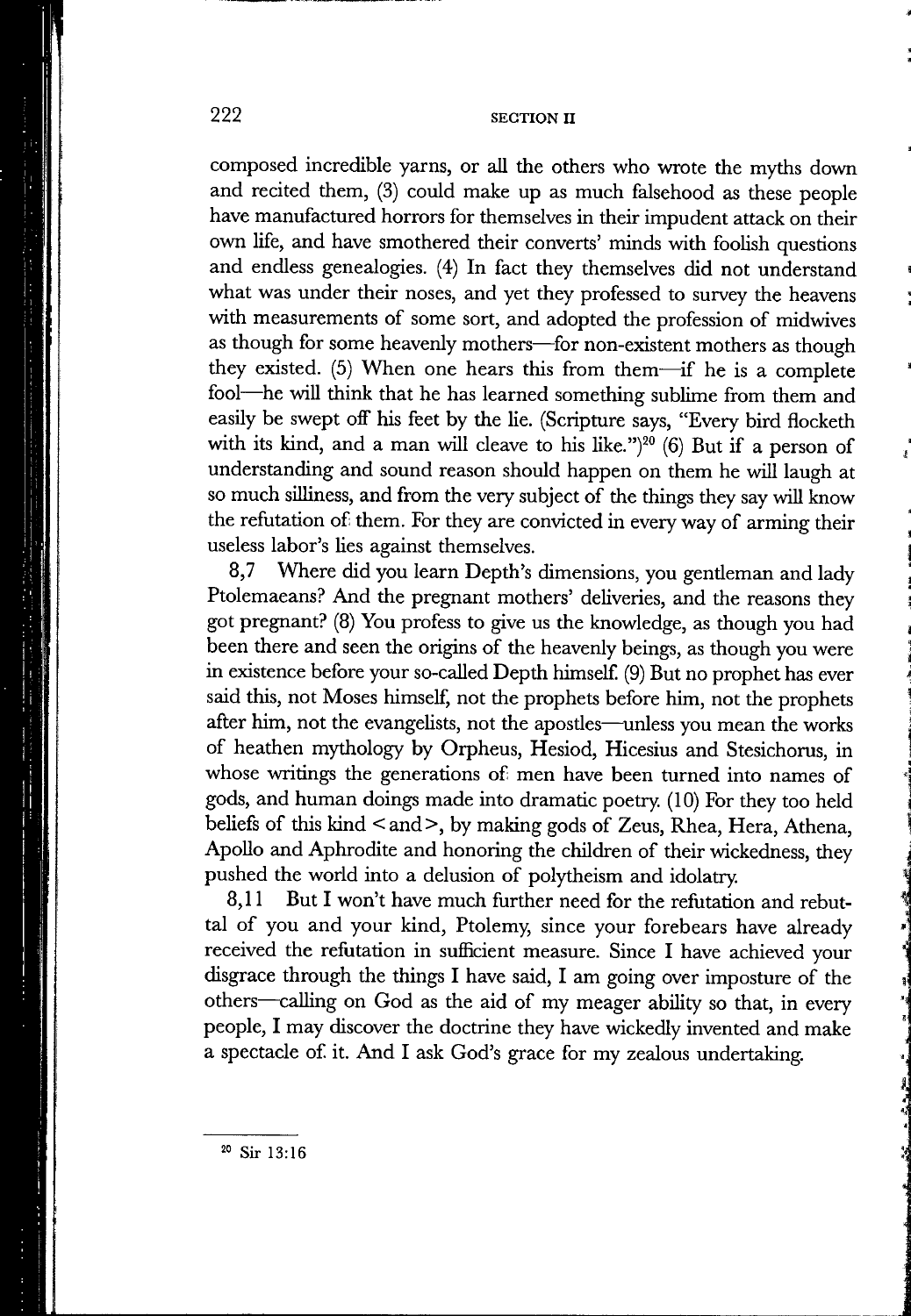composed incredible yarns, or all the others who wrote the myths down and recited them, (3) could make up as much falsehood as these people have manufactured horrors for themselves in their impudent attack on their own life, and have smothered their converts' minds with foolish questions and endless genealogies. (4) In fact they themselves did not understand what was under their noses, and yet they professed to survey the heavens with measurements of some sort, and adopted the profession of midwives as though for some heavenly mothers—for non-existent mothers as though they existed. (5) When one hears this from them—^if he is a complete fool—^he will think that he has learned something sublime from them and easily be swept off his feet by the lie. (Scripture says, "Every bird flocketh with its kind, and a man will cleave to his like.")<sup>20</sup> (6) But if a person of understanding and sound reason should happen on them he will laugh at so much silliness, and from the very subject of the things they say will know the refutation of them. For they are convicted in every way of arming their useless labor's lies against themselves.

8,7 Where did you learn Depth's dimensions, you gentleman and lady Ptolemaeans? And the pregnant mothers' deliveries, and the reasons they got pregnant? (8) You profess to give us the knowledge, as though you had been there and seen the origins of the heavenly beings, as though you were in existence before your so-called Depth himself (9) But no prophet has ever said this, not Moses himself, not the prophets before him, not the prophets after him, not the evangelists, not the apostles—unless you mean the works of heathen mythology by Orpheus, Hesiod, Hicesius and Stesichorus, in whose writings the generations of men have been turned into names of gods, and human doings made into dramatic poetry. (10) For they too held beliefs of this kind  $\leq$  and  $\geq$ , by making gods of Zeus, Rhea, Hera, Athena, Apollo and Aphrodite and honoring the children of their wickedness, they pushed the world into a delusion of polytheism and idolatry.

8,11 But I won't have much further need for the refutation and rebuttal of you and your kind, Ptolemy, since your forebears have already received the refutation in sufficient measure. Since I have achieved your disgrace through the things I have said, I am going over imposture of the others—calling on God as the aid of my meager ability so that, in every people, I may discover the doctrine they have wickedly invented and make a spectacle of it. And I ask God's grace for my zealous undertaking.

**Sir 13:16**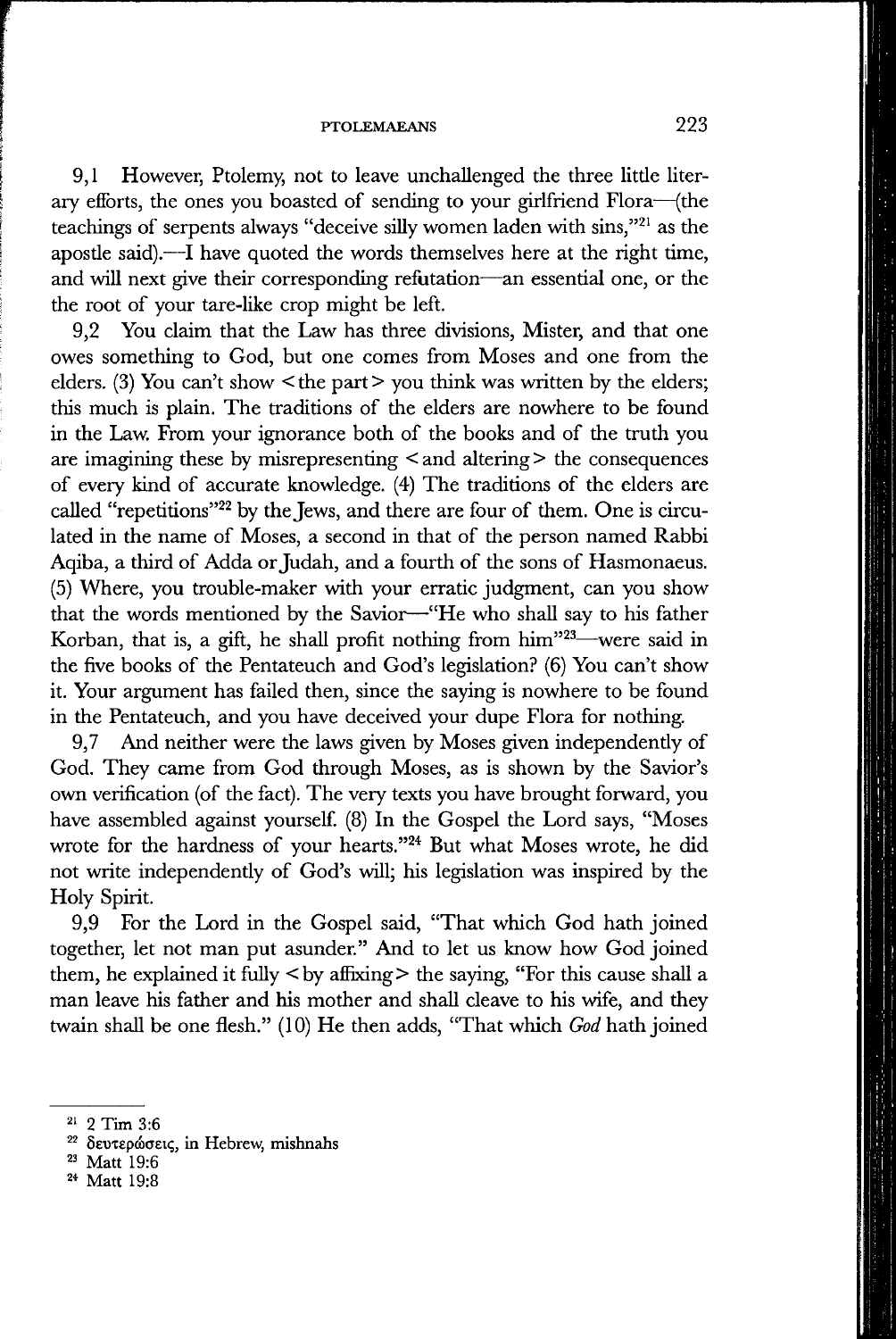#### **PTOLEMAEANS** 223

9.1 However, Ptolemy, not to leave unchallenged the three little literary efforts, the ones you boasted of sending to your girlfriend Flora—(the teachings of serpents always "deceive silly women laden with sins,"<sup>21</sup> as the apostle said).—I have quoted the words themselves here at the right time, and will next give their corresponding refutation—an essential one, or the the root of your tare-like crop might be left.

9.2 You claim that the Law has three divisions. Mister, and that one owes something to God, but one comes from Moses and one from the elders. (3) You can't show  $\leq$  the part  $\geq$  you think was written by the elders; this much is plain. The traditions of the elders are nowhere to be found in the Law. From your ignorance both of the books and of the truth you are imagining these by misrepresenting < and altering > the consequences of every kind of accurate knowledge. (4) The traditions of the elders are called "repetitions"<sup>22</sup> by the Jews, and there are four of them. One is circulated in the name of Moses, a second in that of the person named Rabbi Aqiba, a third of Adda or Judah, and a fourth of the sons of Hasmonaeus. (5) Where, you trouble-maker with your erratic judgment, can you show that the words mentioned by the Savior—-"He who shall say to his father Korban, that is, a gift, he shall profit nothing from him<sup>323</sup>—were said in the five books of the Pentateuch and God's legislation? (6) You can't show it. Your argument has failed then, since the saying is nowhere to be found in the Pentateuch, and you have deceived your dupe Flora for nothing.

9,7 And neither were the laws given by Moses given independently of God. They came from God through Moses, as is shown by the Savior's own verification (of the fact). The very texts you have brought forward, you have assembled against yourself. (8) In the Gospel the Lord says, "Moses wrote for the hardness of your hearts."<sup>24</sup> But what Moses wrote, he did not write independently of God's will; his legislation was inspired by the Holy Spirit.

9,9 For the Lord in the Gospel said, "That which God hath joined together, let not man put asunder." And to let us know how God joined them, he explained it fully  $\langle$  by affixing  $>$  the saying, "For this cause shall a man leave his father and his mother and shall cleave to his wife, and they twain shall be one flesh." (10) He then adds, "That which *God* hath joined

<sup>2</sup>' 2 Tim 3:6

<sup>&</sup>lt;sup>22</sup> δευτερώσεις, in Hebrew, mishnahs

<sup>&</sup>lt;sup>23</sup> Matt 19:6

<sup>2\*</sup> Matt 19:8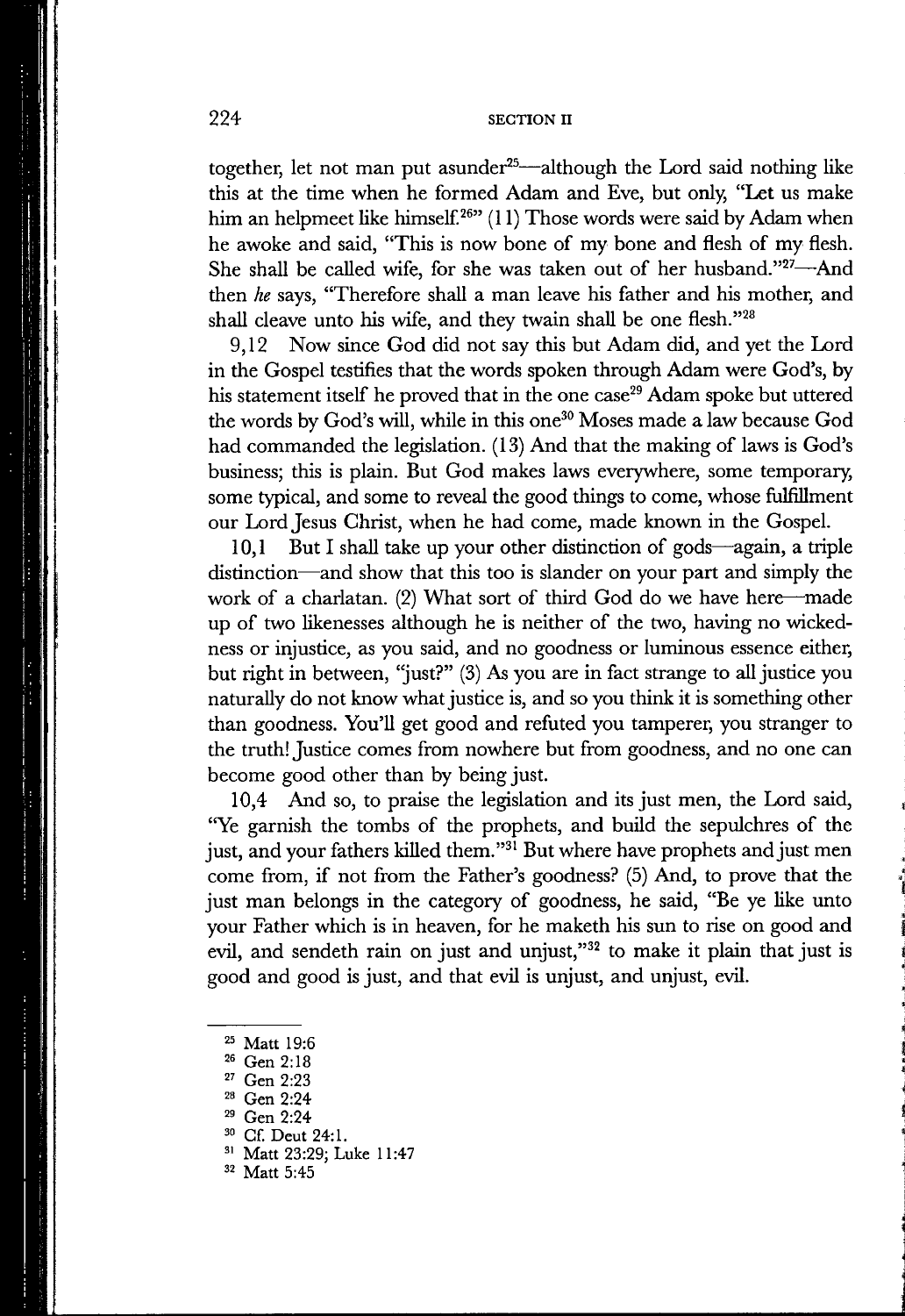together, let not man put asunder<sup>25</sup>—although the Lord said nothing like this at the time when he formed Adam and Eve, but only, "Let us make him an helpmeet like himself. $^{26}$ " (11) Those words were said by Adam when he awoke and said, "This is now bone of my bone and flesh of my flesh. She shall be called wife, for she was taken out of her husband."<sup>27</sup>-And then *he* says, "Therefore shall a man leave his father and his mother, and shall cleave unto his wife, and they twain shall be one flesh."28

9,12 Now since God did not say this but Adam did, and yet the Lord in the Gospel testifies that the words spoken through Adam were God's, by his statement itself he proved that in the one case<sup>29</sup> Adam spoke but uttered the words by God's will, while in this one^" Moses made a law because God had commanded the legislation. (13) And that the making of laws is God's business; this is plain. But God makes laws everywhere, some temporary, some typical, and some to reveal the good things to come, whose fulfillment our Lord Jesus Christ, when he had come, made known in the Gospel.

10,1 But I shall take up your other distinction of gods—again, a triple distinction—and show that this too is slander on your part and simply the work of a charlatan. (2) What sort of third God do we have here—made up of two likenesses although he is neither of the two, having no wickedness or injustice, as you said, and no goodness or luminous essence either, but right in between, "just?" (3) As you are in fact strange to all justice you naturally do not know what justice is, and so you think it is something other than goodness. You'll get good and refuted you tamperer, you stranger to the truth! Justice comes from nowhere but from goodness, and no one can become good other than by being just.

10,4 And so, to praise the legislation and its just men, the Lord said, "Ye garnish the tombs of the prophets, and build the sepulchres of the just, and your fathers killed them."<sup>31</sup> But where have prophets and just men come from, if not from the Father's goodness? (5) And, to prove that the just man belongs in the category of goodness, he said, "Be ye like unto your Father which is in heaven, for he maketh his sun to rise on good and evil, and sendeth rain on just and unjust," $32$  to make it plain that just is good and good is just, and that evil is unjust, and unjust, evil.

**<sup>25</sup> Matt 19:6** 

**Gen 2:18** 

**<sup>&</sup>quot; Gen 2:23** 

**Gen 2:24** 

<sup>&</sup>lt;sup>29</sup> Gen 2:24

<sup>&</sup>lt;sup>30</sup> Cf. Deut 24:1.

**Matt 23:29; Luke 11:47** 

**Matt 5:45**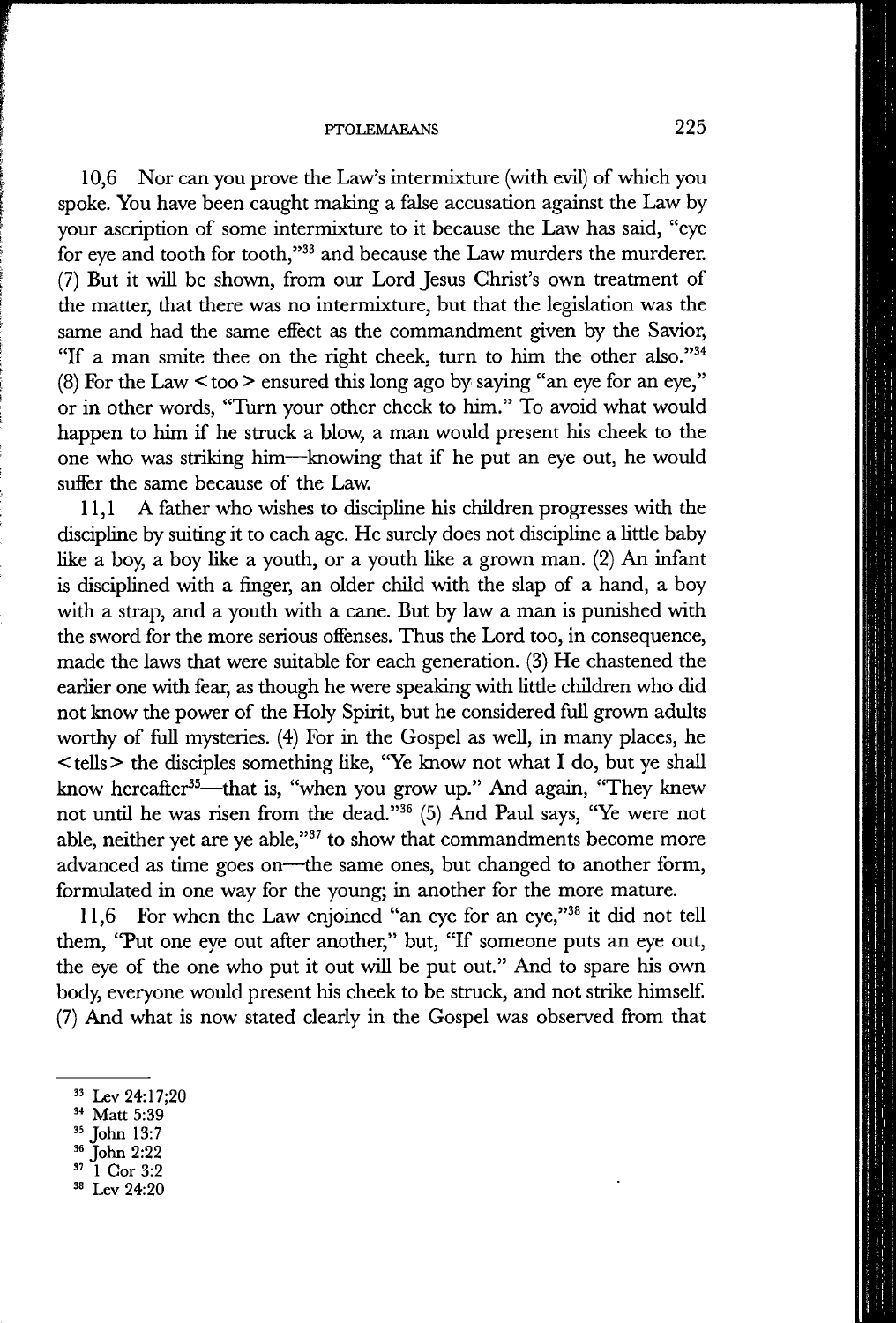### **PTOLEMAEANS** 225

10,6 Nor can you prove the Law's intermixture (with evil) of which you spoke. You have been caught making a false accusation against the Law by your ascription of some intermixture to it because the Law has said, "eye for eye and tooth for tooth," $33$  and because the Law murders the murderer. (7) But it will be shown, from our Lord Jesus Christ's own treatment of the matter, that there was no intermixture, but that the legislation was the same and had the same effect as the commandment given by the Savior, "If a man smite thee on the right cheek, turn to him the other also."<sup>34</sup> (8) For the Law < too > ensured this long ago by saying "an eye for an eye," or in other words, "Turn your other cheek to him." To avoid what would happen to him if he struck a blow, a man would present his cheek to the one who was striking him—knowing that if he put an eye out, he would sufier the same because of the Law.

11,1 A father who wishes to discipline his children progresses with the discipline by suiting it to each age. He surely does not discipline a little baby like a boy, a boy like a youth, or a youth like a grown man. (2) An infant is disciplined with a finger, an older child with the slap of a hand, a boy with a strap, and a youth with a cane. But by law a man is punished with the sword for the more serious offenses. Thus the Lord too, in consequence, made the laws that were suitable for each generation. (3) He chastened the earlier one with fear, as though he were speaking with little children who did not know the power of the Holy Spirit, but he considered full grown adults worthy of full mysteries. (4) For in the Gospel as well, in many places, he < tells > the disciples something like, "Ye know not what I do, but ye shall know hereafter<sup>35</sup>—that is, "when you grow up." And again, "They knew not until he was risen from the dead."<sup>36</sup> (5) And Paul says, "Ye were not able, neither yet are ye able," $37$  to show that commandments become more advanced as time goes on—the same ones, but changed to another form, formulated in one way for the young; in another for the more mature.

11,6 For when the Law enjoined "an eye for an eye,"38 it did not tell them, "Put one eye out after another," but, "If someone puts an eye out, the eye of the one who put it out will be put out." And to spare his own body, everyone would present his cheek to be struck, and not strike himself (7) And what is now stated clearly in the Gospel was observed from that

**John 2:22** 

**Lev 24:20** 

<sup>&</sup>lt;sup>33</sup> Lev 24:17;20

**Matt 5:39** 

**<sup>=•5</sup> John 13:7** 

**<sup>&</sup>quot; 1 Cor 3:2**